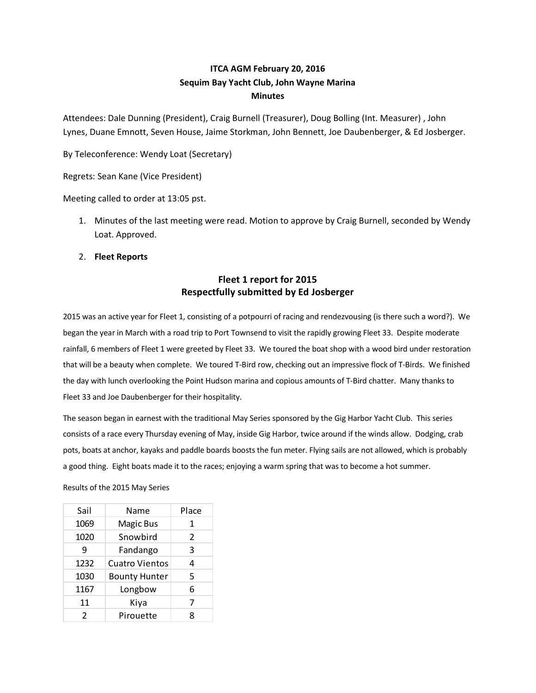# ITCA AGM February 20, 2016 Sequim Bay Yacht Club, John Wayne Marina Minutes

Attendees: Dale Dunning (President), Craig Burnell (Treasurer), Doug Bolling (Int. Measurer) , John Lynes, Duane Emnott, Seven House, Jaime Storkman, John Bennett, Joe Daubenberger, & Ed Josberger.

By Teleconference: Wendy Loat (Secretary)

Regrets: Sean Kane (Vice President)

Meeting called to order at 13:05 pst.

- 1. Minutes of the last meeting were read. Motion to approve by Craig Burnell, seconded by Wendy Loat. Approved.
- 2. Fleet Reports

# Fleet 1 report for 2015 Respectfully submitted by Ed Josberger

2015 was an active year for Fleet 1, consisting of a potpourri of racing and rendezvousing (is there such a word?). We began the year in March with a road trip to Port Townsend to visit the rapidly growing Fleet 33. Despite moderate rainfall, 6 members of Fleet 1 were greeted by Fleet 33. We toured the boat shop with a wood bird under restoration that will be a beauty when complete. We toured T-Bird row, checking out an impressive flock of T-Birds. We finished the day with lunch overlooking the Point Hudson marina and copious amounts of T-Bird chatter. Many thanks to Fleet 33 and Joe Daubenberger for their hospitality. **Example 12**<br> **Example 12**<br> **Example 12**<br> **Example 12**<br> **Example 12**<br> **Example 12**<br> **Example 12**<br> **Example 12**<br> **Example 12**<br> **Example 12**<br> **Example 12**<br> **Example 12**<br> **Example 12**<br> **Example 12**<br> **Example 12**<br> **Example 12** 5 was an active year for Fleet 1, consisting of a potpourri of racing and rendezvousing (is there such a word?). We<br>an the year in March with a road trip to Port Townsend to visit the rapidly growing Fleet 33. Despite mode 3 was an active year for rieet 1, consisting of a popport of racing and reincezvousing (is time social a wordy.) we<br>am the year in March with a road trip to Port Townsend to visit the rapidly growing fleet s 3. Osegete mod till, 6 members of Fleet 1 were greeted by Fleet 33. We touried the spidly growing Fleet 33. Despite moderate<br>il, 6 members of Fleet 1 were greeted by Fleet 33. We toured the boat shop with a wood bird under restoration<br>wi fall, 6 members of Fleet 1 were greeted by Fleet 33. We toured the boat shop with a wood bird under restoration<br>
will be a beauty when complete. We toured T-Bird row, checking out an impressive flock of T-Birds. We finishe

The season began in earnest with the traditional May Series sponsored by the Gig Harbor Yacht Club. This series consists of a race every Thursday evening of May, inside Gig Harbor, twice around if the winds allow. Dodging, crab pots, boats at anchor, kayaks and paddle boards boosts the fun meter. Flying sails are not allowed, which is probably a good thing. Eight boats made it to the races; enjoying a warm spring that was to become a hot summer. twill be a beauty when complete. We toured T-Bird row, checking out an impressive flock of T-Birds. We finished<br>day with lunch overlooking the Point Hudson marina and copious amounts of T-Bird chatter. Many thanks to<br>ta 3 day with lunch overlooking the Point Hudson marina and copious amounts of T-Bird chatter. Many thanks to<br>
to the 33 and Joe Daubenberger for their hospitality,<br>
season began in earnest with the traditional May Series spons ey when the velocity of the transformation of the diplomation of the direct: many shanks to<br>
33 and Joe Daubenberger for their hospitality.<br>
The case were their hospitality.<br>
The case were the transformation and any Series 33 and Joe Daubenberger for their hospitality.<br>
eason began in earnest with the traditional May Series sponsored by the Gig Harbor Yacht Club. This series<br>
sts of a race every Thursday evening of May, inside Gig Harbor, tw

Results of the 2015 May Series

| Sail          | Name                  | Place         |
|---------------|-----------------------|---------------|
| 1069          | Magic Bus             | 1             |
| 1020          | Snowbird              | $\mathcal{P}$ |
| q             | Fandango              | 3             |
| 1232          | <b>Cuatro Vientos</b> | 4             |
| 1030          | <b>Bounty Hunter</b>  | 5             |
| 1167          | Longbow               | 6             |
| 11            | Kiya                  | 7             |
| $\mathcal{P}$ | Pirouette             | R             |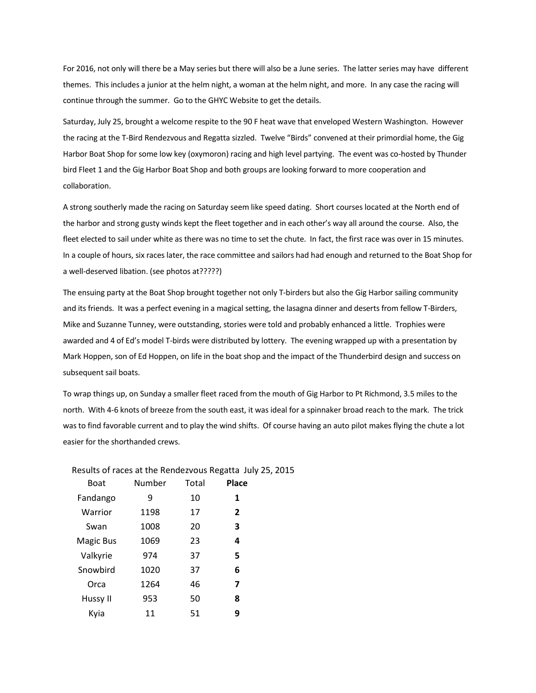For 2016, not only will there be a May series but there will also be a June series. The latter series may have different themes. This includes a junior at the helm night, a woman at the helm night, and more. In any case the racing will continue through the summer. Go to the GHYC Website to get the details.

Saturday, July 25, brought a welcome respite to the 90 F heat wave that enveloped Western Washington. However the racing at the T-Bird Rendezvous and Regatta sizzled. Twelve "Birds" convened at their primordial home, the Gig Harbor Boat Shop for some low key (oxymoron) racing and high level partying. The event was co-hosted by Thunder bird Fleet 1 and the Gig Harbor Boat Shop and both groups are looking forward to more cooperation and collaboration.

A strong southerly made the racing on Saturday seem like speed dating. Short courses located at the North end of the harbor and strong gusty winds kept the fleet together and in each other's way all around the course. Also, the fleet elected to sail under white as there was no time to set the chute. In fact, the first race was over in 15 minutes. In a couple of hours, six races later, the race committee and sailors had had enough and returned to the Boat Shop for a well-deserved libation. (see photos at?????)

The ensuing party at the Boat Shop brought together not only T-birders but also the Gig Harbor sailing community and its friends. It was a perfect evening in a magical setting, the lasagna dinner and deserts from fellow T-Birders, Mike and Suzanne Tunney, were outstanding, stories were told and probably enhanced a little. Trophies were awarded and 4 of Ed's model T-birds were distributed by lottery. The evening wrapped up with a presentation by Mark Hoppen, son of Ed Hoppen, on life in the boat shop and the impact of the Thunderbird design and success on subsequent sail boats.

To wrap things up, on Sunday a smaller fleet raced from the mouth of Gig Harbor to Pt Richmond, 3.5 miles to the north. With 4-6 knots of breeze from the south east, it was ideal for a spinnaker broad reach to the mark. The trick was to find favorable current and to play the wind shifts. Of course having an auto pilot makes flying the chute a lot easier for the shorthanded crews.

| <b>Boat</b>      | Number | Total | Place          |
|------------------|--------|-------|----------------|
| Fandango         | 9      | 10    | 1              |
| Warrior          | 1198   | 17    | $\overline{2}$ |
| Swan             | 1008   | 20    | 3              |
| <b>Magic Bus</b> | 1069   | 23    | 4              |
| Valkyrie         | 974    | 37    | 5              |
| Snowbird         | 1020   | 37    | 6              |
| Orca             | 1264   | 46    | 7              |
| Hussy II         | 953    | 50    | 8              |
| Kvia             | 11     | 51    | 9              |

Results of races at the Rendezvous Regatta July 25, 2015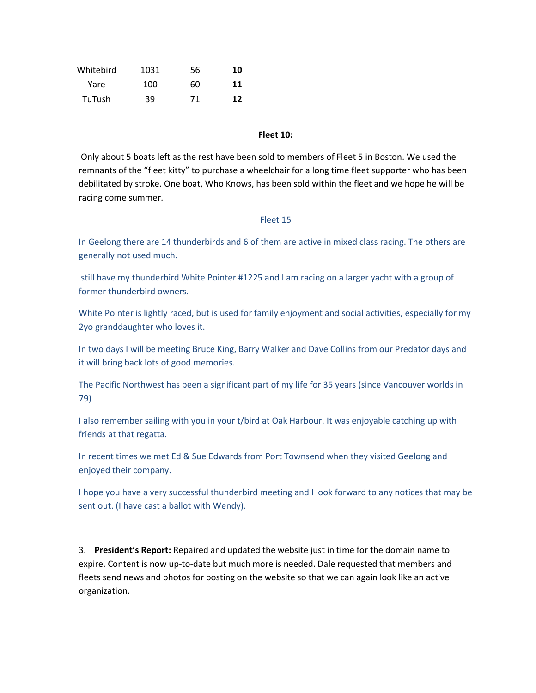| Whitebird     | 1031 | 56 | 10 |
|---------------|------|----|----|
| Yare          | 100  | 60 | 11 |
| <b>TuTush</b> | 39   | 71 | 12 |

### Fleet 10:

 Only about 5 boats left as the rest have been sold to members of Fleet 5 in Boston. We used the remnants of the "fleet kitty" to purchase a wheelchair for a long time fleet supporter who has been debilitated by stroke. One boat, Who Knows, has been sold within the fleet and we hope he will be racing come summer.

#### Fleet 15

In Geelong there are 14 thunderbirds and 6 of them are active in mixed class racing. The others are generally not used much.

still have my thunderbird White Pointer #1225 and I am racing on a larger yacht with a group of former thunderbird owners.

White Pointer is lightly raced, but is used for family enjoyment and social activities, especially for my 2yo granddaughter who loves it.

In two days I will be meeting Bruce King, Barry Walker and Dave Collins from our Predator days and it will bring back lots of good memories.

The Pacific Northwest has been a significant part of my life for 35 years (since Vancouver worlds in 79)

I also remember sailing with you in your t/bird at Oak Harbour. It was enjoyable catching up with friends at that regatta.

In recent times we met Ed & Sue Edwards from Port Townsend when they visited Geelong and enjoyed their company.

I hope you have a very successful thunderbird meeting and I look forward to any notices that may be sent out. (I have cast a ballot with Wendy).

3. President's Report: Repaired and updated the website just in time for the domain name to expire. Content is now up-to-date but much more is needed. Dale requested that members and fleets send news and photos for posting on the website so that we can again look like an active organization.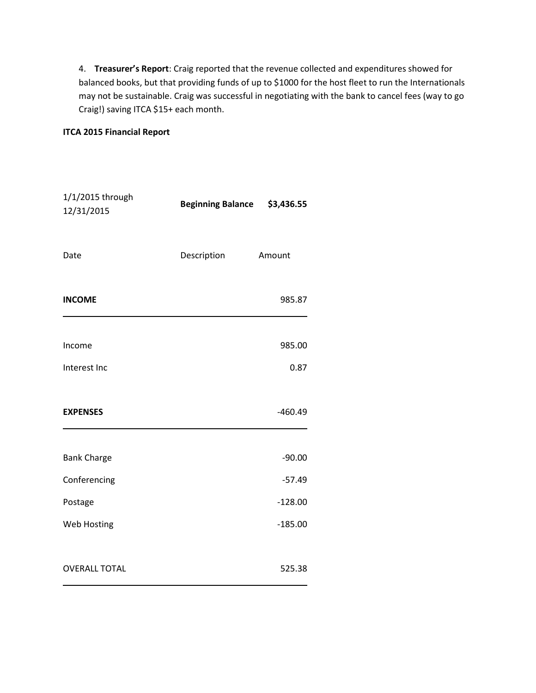4. Treasurer's Report: Craig reported that the revenue collected and expenditures showed for balanced books, but that providing funds of up to \$1000 for the host fleet to run the Internationals may not be sustainable. Craig was successful in negotiating with the bank to cancel fees (way to go Craig!) saving ITCA \$15+ each month.

### ITCA 2015 Financial Report

| 1/1/2015 through<br>12/31/2015 | <b>Beginning Balance</b> | \$3,436.55 |
|--------------------------------|--------------------------|------------|
| Date                           | Description              | Amount     |
| <b>INCOME</b>                  |                          | 985.87     |
| Income                         |                          | 985.00     |
| Interest Inc                   |                          | 0.87       |
| <b>EXPENSES</b>                |                          | $-460.49$  |
| <b>Bank Charge</b>             |                          | $-90.00$   |
| Conferencing                   |                          | $-57.49$   |
| Postage                        |                          | $-128.00$  |
| Web Hosting                    |                          | $-185.00$  |
| <b>OVERALL TOTAL</b>           |                          | 525.38     |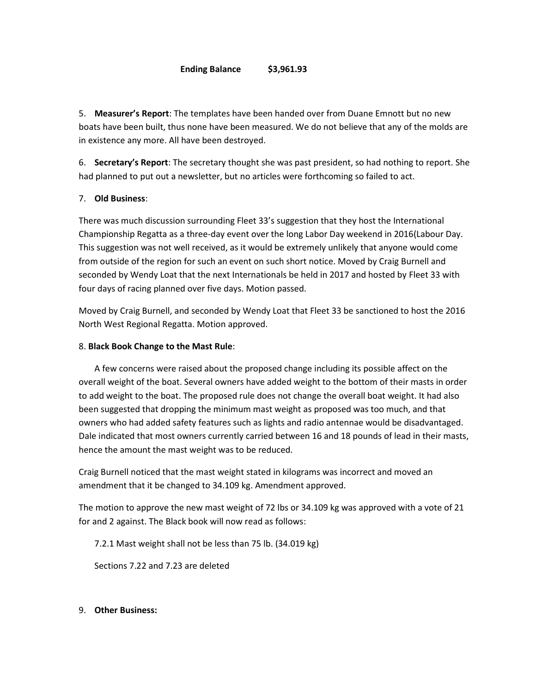#### Ending Balance \$3,961.93

5. Measurer's Report: The templates have been handed over from Duane Emnott but no new boats have been built, thus none have been measured. We do not believe that any of the molds are in existence any more. All have been destroyed.

6. Secretary's Report: The secretary thought she was past president, so had nothing to report. She had planned to put out a newsletter, but no articles were forthcoming so failed to act.

### 7. Old Business:

There was much discussion surrounding Fleet 33's suggestion that they host the International Championship Regatta as a three-day event over the long Labor Day weekend in 2016(Labour Day. This suggestion was not well received, as it would be extremely unlikely that anyone would come from outside of the region for such an event on such short notice. Moved by Craig Burnell and seconded by Wendy Loat that the next Internationals be held in 2017 and hosted by Fleet 33 with four days of racing planned over five days. Motion passed.

Moved by Craig Burnell, and seconded by Wendy Loat that Fleet 33 be sanctioned to host the 2016 North West Regional Regatta. Motion approved.

### 8. Black Book Change to the Mast Rule:

 A few concerns were raised about the proposed change including its possible affect on the overall weight of the boat. Several owners have added weight to the bottom of their masts in order to add weight to the boat. The proposed rule does not change the overall boat weight. It had also been suggested that dropping the minimum mast weight as proposed was too much, and that owners who had added safety features such as lights and radio antennae would be disadvantaged. Dale indicated that most owners currently carried between 16 and 18 pounds of lead in their masts, hence the amount the mast weight was to be reduced.

Craig Burnell noticed that the mast weight stated in kilograms was incorrect and moved an amendment that it be changed to 34.109 kg. Amendment approved.

The motion to approve the new mast weight of 72 lbs or 34.109 kg was approved with a vote of 21 for and 2 against. The Black book will now read as follows:

7.2.1 Mast weight shall not be less than 75 lb. (34.019 kg)

Sections 7.22 and 7.23 are deleted

9. Other Business: